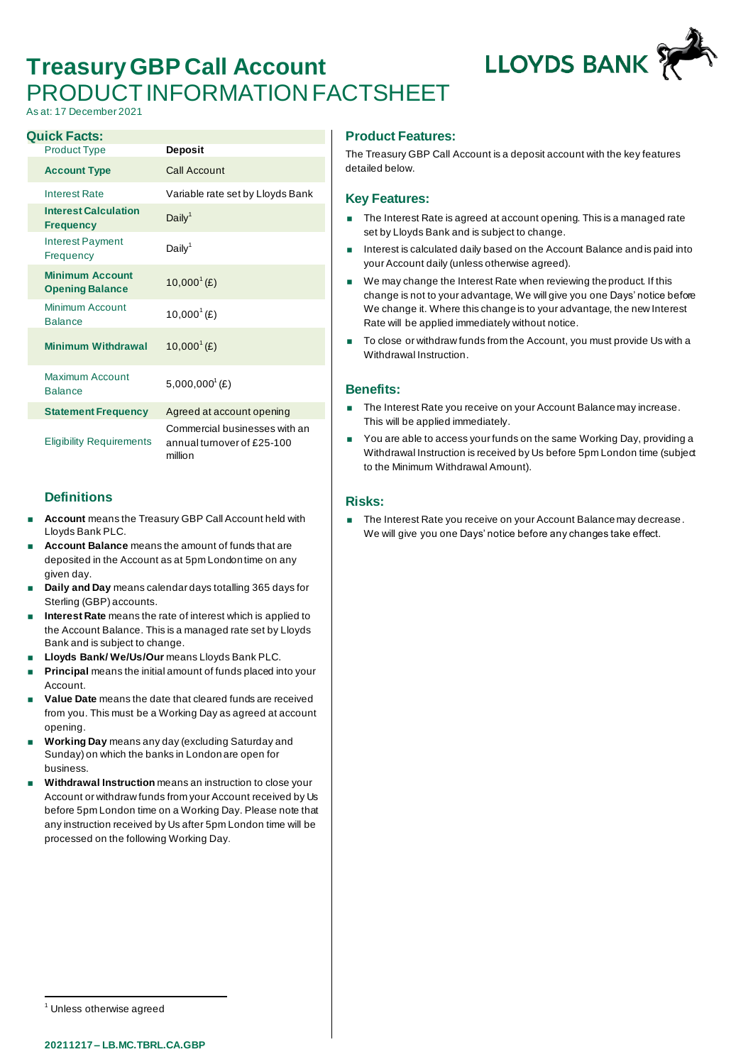# **Treasury GBP Call Account** PRODUCT INFORMATION FACTSHEET

As at: 17 December 2021

| <b>Quick Facts:</b>                              |                                                                        |
|--------------------------------------------------|------------------------------------------------------------------------|
| <b>Product Type</b>                              | <b>Deposit</b>                                                         |
| <b>Account Type</b>                              | Call Account                                                           |
| <b>Interest Rate</b>                             | Variable rate set by Lloyds Bank                                       |
| <b>Interest Calculation</b><br><b>Frequency</b>  | Daily <sup>1</sup>                                                     |
| <b>Interest Payment</b><br>Frequency             | Daily <sup>1</sup>                                                     |
| <b>Minimum Account</b><br><b>Opening Balance</b> | $10,000^1$ (£)                                                         |
| Minimum Account<br><b>Balance</b>                | $10,000^{\circ}$ (£)                                                   |
| <b>Minimum Withdrawal</b>                        | $10,000^1$ (£)                                                         |
| Maximum Account<br><b>Balance</b>                | $5,000,000^{\circ}$ (£)                                                |
| <b>Statement Frequency</b>                       | Agreed at account opening                                              |
| <b>Eligibility Requirements</b>                  | Commercial businesses with an<br>annual turnover of £25-100<br>million |

## **Definitions**

- **Account** means the Treasury GBP Call Account held with Lloyds Bank PLC.
- **Account Balance** means the amount of funds that are deposited in the Account as at 5pm London time on any given day.
- **Daily and Day** means calendar days totalling 365 days for Sterling (GBP) accounts.
- **Interest Rate** means the rate of interest which is applied to the Account Balance. This is a managed rate set by Lloyds Bank and is subject to change.
- **Lloyds Bank/ We/Us/Our** means Lloyds Bank PLC.
- **Principal** means the initial amount of funds placed into your Account.
- **Value Date** means the date that cleared funds are received from you. This must be a Working Day as agreed at account opening.
- **Working Day** means any day (excluding Saturday and Sunday) on which the banks in London are open for business.
- **Withdrawal Instruction** means an instruction to close your Account or withdraw funds from your Account received by Us before 5pm London time on a Working Day. Please note that any instruction received by Us after 5pm London time will be processed on the following Working Day.

### **Product Features:**

The Treasury GBP Call Account is a deposit account with the key features detailed below.

#### **Key Features:**

- **The Interest Rate is agreed at account opening. This is a managed rate** set by Lloyds Bank and is subject to change.
- Interest is calculated daily based on the Account Balance and is paid into your Account daily (unless otherwise agreed).
- We may change the Interest Rate when reviewing the product. If this change is not to your advantage, We will give you one Days' notice before We change it. Where this change is to your advantage, the new Interest Rate will be applied immediately without notice.
- To close or withdraw funds from the Account, you must provide Us with a Withdrawal Instruction.

### **Benefits:**

- The Interest Rate you receive on your Account Balance may increase. This will be applied immediately.
- You are able to access your funds on the same Working Day, providing a Withdrawal Instruction is received by Us before 5pm London time (subject to the Minimum Withdrawal Amount).

### **Risks:**

The Interest Rate you receive on your Account Balance may decrease. We will give you one Days' notice before any changes take effect.



<sup>&</sup>lt;sup>1</sup> Unless otherwise agreed